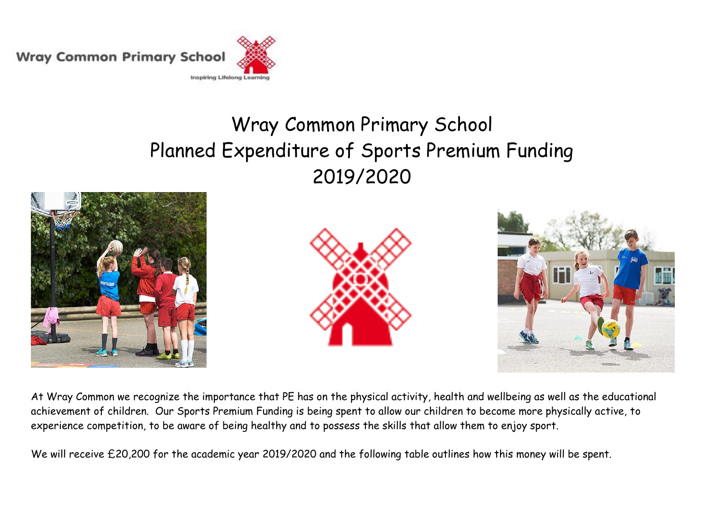**Wray Common Primary School** 



## Wray Common Primary School Planned Expenditure of Sports Premium Funding 2019/2020







At Wray Common we recognize the importance that PE has on the physical activity, health and wellbeing as well as the educational achievement of children. Our Sports Premium Funding is being spent to allow our children to become more physically active, to experience competition, to be aware of being healthy and to possess the skills that allow them to enjoy sport.

We will receive £20,200 for the academic year 2019/2020 and the following table outlines how this money will be spent.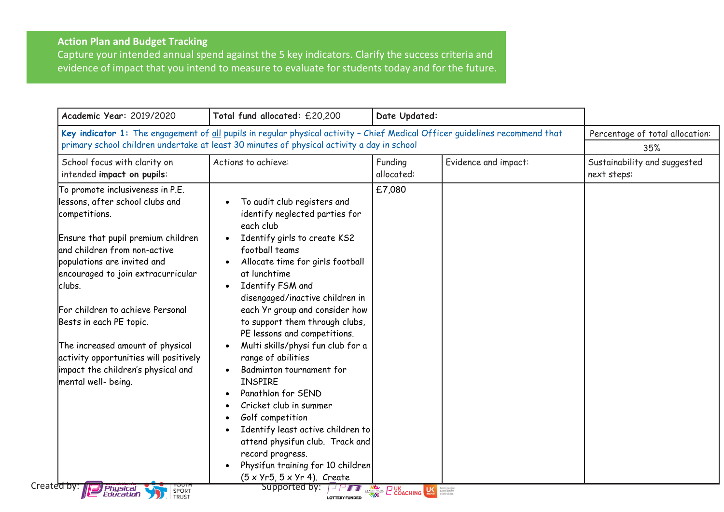## **Action Plan and Budget Tracking**

Capture your intended annual spend against the 5 key indicators. Clarify the success criteria and evidence of impact that you intend to measure to evaluate for students today and for the future.

| Academic Year: 2019/2020                                                                                                                                                                                                                                                                                                                                                                                                                                                                             | Total fund allocated: £20,200                                                                                                                                                                                                                                                                                                                                                                                                                                                                                                                                                                                                                                                                                                      | Date Updated:                                                                                                                                                                                                                                  |                                        |                                             |  |
|------------------------------------------------------------------------------------------------------------------------------------------------------------------------------------------------------------------------------------------------------------------------------------------------------------------------------------------------------------------------------------------------------------------------------------------------------------------------------------------------------|------------------------------------------------------------------------------------------------------------------------------------------------------------------------------------------------------------------------------------------------------------------------------------------------------------------------------------------------------------------------------------------------------------------------------------------------------------------------------------------------------------------------------------------------------------------------------------------------------------------------------------------------------------------------------------------------------------------------------------|------------------------------------------------------------------------------------------------------------------------------------------------------------------------------------------------------------------------------------------------|----------------------------------------|---------------------------------------------|--|
| Key indicator 1: The engagement of all pupils in regular physical activity - Chief Medical Officer guidelines recommend that<br>primary school children undertake at least 30 minutes of physical activity a day in school                                                                                                                                                                                                                                                                           |                                                                                                                                                                                                                                                                                                                                                                                                                                                                                                                                                                                                                                                                                                                                    |                                                                                                                                                                                                                                                | Percentage of total allocation:<br>35% |                                             |  |
| School focus with clarity on<br>intended impact on pupils:                                                                                                                                                                                                                                                                                                                                                                                                                                           | Actions to achieve:                                                                                                                                                                                                                                                                                                                                                                                                                                                                                                                                                                                                                                                                                                                | Funding<br>allocated:                                                                                                                                                                                                                          | Evidence and impact:                   | Sustainability and suggested<br>next steps: |  |
| To promote inclusiveness in P.E.<br>lessons, after school clubs and<br>competitions.<br>Ensure that pupil premium children<br>and children from non-active<br>populations are invited and<br>encouraged to join extracurricular<br>clubs.<br>For children to achieve Personal<br>Bests in each PE topic.<br>The increased amount of physical<br>activity opportunities will positively<br>impact the children's physical and<br>mental well- being.<br>Created by: 1<br><i>Physical</i><br>Education | To audit club registers and<br>identify neglected parties for<br>each club<br>Identify girls to create KS2<br>football teams<br>Allocate time for girls football<br>at lunchtime<br>Identify FSM and<br>$\bullet$<br>disengaged/inactive children in<br>each Yr group and consider how<br>to support them through clubs,<br>PE lessons and competitions.<br>Multi skills/physi fun club for a<br>range of abilities<br>Badminton tournament for<br><b>INSPIRE</b><br>Panathlon for SEND<br>Cricket club in summer<br>Golf competition<br>Identify least active children to<br>attend physifun club. Track and<br>record progress.<br>Physifun training for 10 children<br>$(5 \times Yr5, 5 \times Yr4)$ . Create<br>Supported by: | £7,080<br><b>FILE SPACE COACHING US SECOND TO BE SERVED AND STATE OF STATE OF A STATE OF STATE OF STATE OF A STATE OF A STATE OF STATE OF STATE OF A STATE OF A STATE OF A STATE OF A STATE OF A STATE OF A STATE OF A STATE OF A STATE OF</b> |                                        |                                             |  |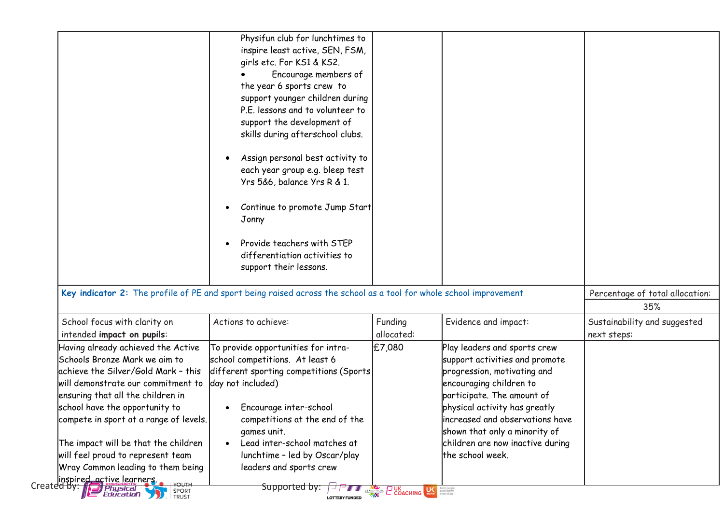|                                                                                                                                                                                                                                                                                                                                                                                                                                                                        | Physifun club for lunchtimes to<br>inspire least active, SEN, FSM,<br>girls etc. For KS1 & KS2.<br>Encourage members of<br>the year 6 sports crew to<br>support younger children during<br>P.E. lessons and to volunteer to<br>support the development of<br>skills during afterschool clubs.<br>Assign personal best activity to<br>each year group e.g. bleep test<br>Yrs 5&6, balance Yrs R & 1.<br>Continue to promote Jump Start<br>Jonny |                                                        |                                                                                                                                                                                                                                                                                                                     |                                             |  |
|------------------------------------------------------------------------------------------------------------------------------------------------------------------------------------------------------------------------------------------------------------------------------------------------------------------------------------------------------------------------------------------------------------------------------------------------------------------------|------------------------------------------------------------------------------------------------------------------------------------------------------------------------------------------------------------------------------------------------------------------------------------------------------------------------------------------------------------------------------------------------------------------------------------------------|--------------------------------------------------------|---------------------------------------------------------------------------------------------------------------------------------------------------------------------------------------------------------------------------------------------------------------------------------------------------------------------|---------------------------------------------|--|
|                                                                                                                                                                                                                                                                                                                                                                                                                                                                        | Provide teachers with STEP<br>differentiation activities to<br>support their lessons.                                                                                                                                                                                                                                                                                                                                                          |                                                        |                                                                                                                                                                                                                                                                                                                     |                                             |  |
|                                                                                                                                                                                                                                                                                                                                                                                                                                                                        | Key indicator 2: The profile of PE and sport being raised across the school as a tool for whole school improvement                                                                                                                                                                                                                                                                                                                             |                                                        |                                                                                                                                                                                                                                                                                                                     |                                             |  |
| School focus with clarity on<br>intended impact on pupils:                                                                                                                                                                                                                                                                                                                                                                                                             | Actions to achieve:                                                                                                                                                                                                                                                                                                                                                                                                                            | Funding<br>allocated:                                  | Evidence and impact:                                                                                                                                                                                                                                                                                                | Sustainability and suggested<br>next steps: |  |
| Having already achieved the Active<br>Schools Bronze Mark we aim to<br>achieve the Silver/Gold Mark - this<br>will demonstrate our commitment to<br>ensuring that all the children in<br>school have the opportunity to<br>compete in sport at a range of levels.<br>The impact will be that the children<br>will feel proud to represent team<br>Wray Common leading to them being<br>linspired active learners.<br>Created by: <b>Physical</b><br>Education<br>SPORT | To provide opportunities for intra-<br>school competitions. At least 6<br>different sporting competitions (Sports<br>day not included)<br>Encourage inter-school<br>competitions at the end of the<br>games unit.<br>Lead inter-school matches at<br>lunchtime - led by Oscar/play<br>leaders and sports crew<br>Supported by:                                                                                                                 | £7,080<br><b>COACHING LAST COACHING LAST RESIDENCE</b> | Play leaders and sports crew<br>support activities and promote<br>progression, motivating and<br>encouraging children to<br>participate. The amount of<br>physical activity has greatly<br>increased and observations have<br>shown that only a minority of<br>children are now inactive during<br>the school week. |                                             |  |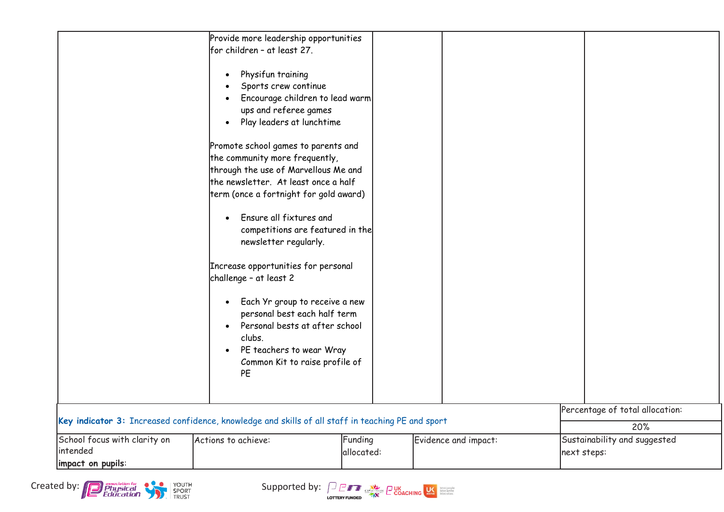

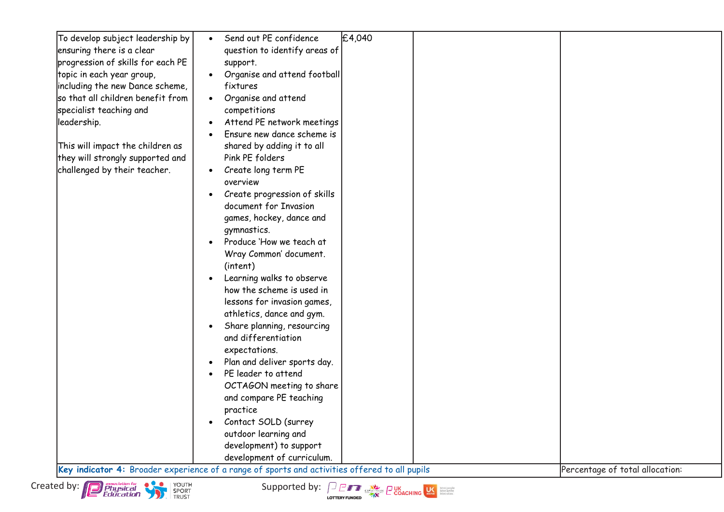| To develop subject leadership by  | Send out PE confidence<br>£4,040                                                              |                                 |
|-----------------------------------|-----------------------------------------------------------------------------------------------|---------------------------------|
| ensuring there is a clear         | question to identify areas of                                                                 |                                 |
| progression of skills for each PE | support.                                                                                      |                                 |
| topic in each year group,         | Organise and attend football                                                                  |                                 |
| including the new Dance scheme,   | fixtures                                                                                      |                                 |
| so that all children benefit from | Organise and attend                                                                           |                                 |
| specialist teaching and           | competitions                                                                                  |                                 |
| leadership.                       | Attend PE network meetings                                                                    |                                 |
|                                   | Ensure new dance scheme is                                                                    |                                 |
| This will impact the children as  | shared by adding it to all                                                                    |                                 |
| they will strongly supported and  | Pink PE folders                                                                               |                                 |
| challenged by their teacher.      | Create long term PE                                                                           |                                 |
|                                   | overview                                                                                      |                                 |
|                                   | Create progression of skills                                                                  |                                 |
|                                   | document for Invasion                                                                         |                                 |
|                                   | games, hockey, dance and                                                                      |                                 |
|                                   | gymnastics.                                                                                   |                                 |
|                                   | Produce 'How we teach at                                                                      |                                 |
|                                   | Wray Common' document.                                                                        |                                 |
|                                   | (intent)                                                                                      |                                 |
|                                   | Learning walks to observe                                                                     |                                 |
|                                   | how the scheme is used in                                                                     |                                 |
|                                   | lessons for invasion games,                                                                   |                                 |
|                                   | athletics, dance and gym.                                                                     |                                 |
|                                   | Share planning, resourcing                                                                    |                                 |
|                                   | and differentiation                                                                           |                                 |
|                                   | expectations.                                                                                 |                                 |
|                                   | Plan and deliver sports day.                                                                  |                                 |
|                                   | PE leader to attend                                                                           |                                 |
|                                   | OCTAGON meeting to share                                                                      |                                 |
|                                   | and compare PE teaching                                                                       |                                 |
|                                   | practice                                                                                      |                                 |
|                                   | Contact SOLD (surrey                                                                          |                                 |
|                                   | outdoor learning and                                                                          |                                 |
|                                   | development) to support                                                                       |                                 |
|                                   | development of curriculum.                                                                    |                                 |
|                                   | Key indicator 4: Broader experience of a range of sports and activities offered to all pupils | Percentage of total allocation: |
|                                   |                                                                                               |                                 |



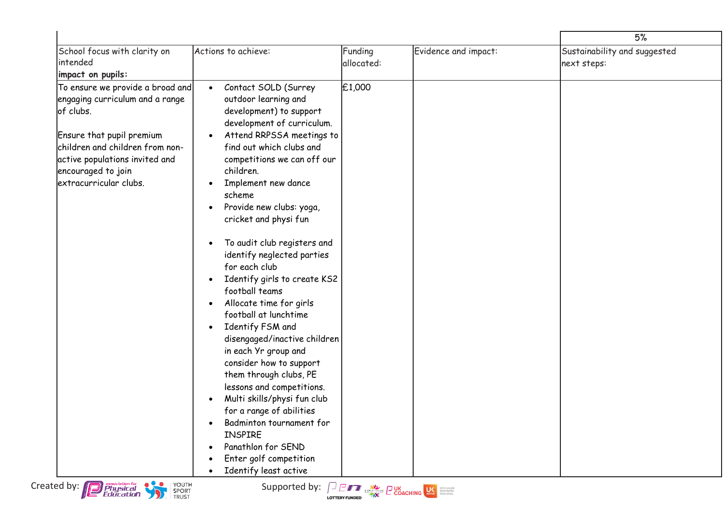|                                                                                                                                                                                                                                    |                                                                                                                                                                                                                                                                                                                                                                                                                                                                                                                                                                                                                                                                                                                                                                                                                                                   |                       |                      | 5%                                          |
|------------------------------------------------------------------------------------------------------------------------------------------------------------------------------------------------------------------------------------|---------------------------------------------------------------------------------------------------------------------------------------------------------------------------------------------------------------------------------------------------------------------------------------------------------------------------------------------------------------------------------------------------------------------------------------------------------------------------------------------------------------------------------------------------------------------------------------------------------------------------------------------------------------------------------------------------------------------------------------------------------------------------------------------------------------------------------------------------|-----------------------|----------------------|---------------------------------------------|
| School focus with clarity on<br>intended<br>impact on pupils:                                                                                                                                                                      | Actions to achieve:                                                                                                                                                                                                                                                                                                                                                                                                                                                                                                                                                                                                                                                                                                                                                                                                                               | Funding<br>allocated: | Evidence and impact: | Sustainability and suggested<br>next steps: |
| To ensure we provide a broad and<br>engaging curriculum and a range<br>of clubs.<br>Ensure that pupil premium<br>children and children from non-<br>active populations invited and<br>encouraged to join<br>extracurricular clubs. | Contact SOLD (Surrey<br>outdoor learning and<br>development) to support<br>development of curriculum.<br>Attend RRPSSA meetings to<br>find out which clubs and<br>competitions we can off our<br>children.<br>Implement new dance<br>scheme<br>Provide new clubs: yoga,<br>cricket and physi fun<br>To audit club registers and<br>identify neglected parties<br>for each club<br>Identify girls to create KS2<br>football teams<br>Allocate time for girls<br>$\bullet$<br>football at lunchtime<br>Identify FSM and<br>disengaged/inactive children<br>in each Yr group and<br>consider how to support<br>them through clubs, PE<br>lessons and competitions.<br>Multi skills/physi fun club<br>for a range of abilities<br>Badminton tournament for<br><b>INSPIRE</b><br>Panathlon for SEND<br>Enter golf competition<br>Identify least active | £1,000                |                      |                                             |
| Created by: <b>Proprietion for</b><br>Education<br>YOUTH<br>SPORT<br>TRUST                                                                                                                                                         | Supported by: $\int_{\frac{1}{2}} \frac{1}{\sqrt{2}} \int_{\frac{1}{2}}^{\frac{1}{2}} \frac{1}{\sqrt{2}} \int_{\frac{1}{2}}^{\frac{1}{2}} \frac{1}{\sqrt{2}} \int_{\frac{1}{2}}^{\frac{1}{2}} \frac{1}{\sqrt{2}} \int_{\frac{1}{2}}^{\frac{1}{2}} \frac{1}{\sqrt{2}} \int_{\frac{1}{2}}^{\frac{1}{2}} \frac{1}{\sqrt{2}} \int_{\frac{1}{2}}^{\frac{1}{2}} \frac{1}{\sqrt{2}} \int_{\frac{1}{2}}^{\frac{1}{2}} \$                                                                                                                                                                                                                                                                                                                                                                                                                                  |                       |                      |                                             |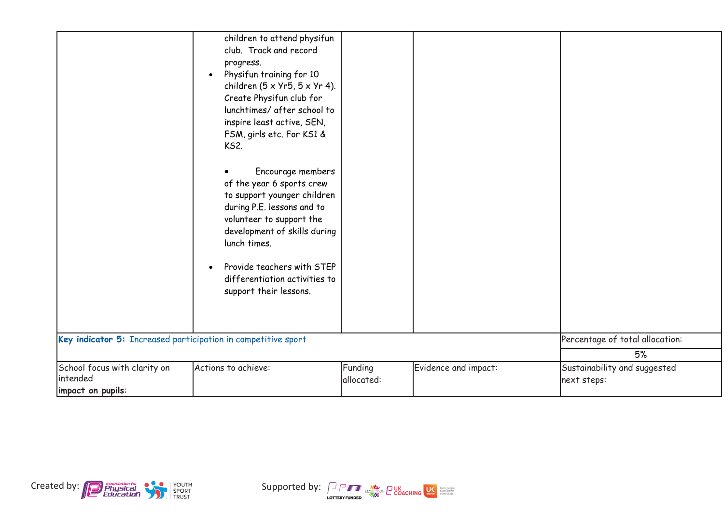|                                                               | children to attend physifun<br>club. Track and record<br>progress.<br>Physifun training for 10<br>$\bullet$<br>children $(5 \times Yr5, 5 \times Yr 4)$ .<br>Create Physifun club for<br>lunchtimes/ after school to<br>inspire least active, SEN,<br>FSM, girls etc. For KS1 &<br><b>KS2.</b><br>Encourage members<br>of the year 6 sports crew<br>to support younger children<br>during P.E. lessons and to<br>volunteer to support the<br>development of skills during<br>lunch times.<br>Provide teachers with STEP<br>$\bullet$<br>differentiation activities to<br>support their lessons. |            |                      |                                 |
|---------------------------------------------------------------|-------------------------------------------------------------------------------------------------------------------------------------------------------------------------------------------------------------------------------------------------------------------------------------------------------------------------------------------------------------------------------------------------------------------------------------------------------------------------------------------------------------------------------------------------------------------------------------------------|------------|----------------------|---------------------------------|
|                                                               |                                                                                                                                                                                                                                                                                                                                                                                                                                                                                                                                                                                                 |            |                      | Percentage of total allocation: |
| Key indicator 5: Increased participation in competitive sport |                                                                                                                                                                                                                                                                                                                                                                                                                                                                                                                                                                                                 |            | 5%                   |                                 |
|                                                               |                                                                                                                                                                                                                                                                                                                                                                                                                                                                                                                                                                                                 |            |                      |                                 |
| School focus with clarity on<br>intended                      | Actions to achieve:                                                                                                                                                                                                                                                                                                                                                                                                                                                                                                                                                                             | Funding    | Evidence and impact: | Sustainability and suggested    |
| impact on pupils:                                             |                                                                                                                                                                                                                                                                                                                                                                                                                                                                                                                                                                                                 | allocated: |                      | next steps:                     |
|                                                               |                                                                                                                                                                                                                                                                                                                                                                                                                                                                                                                                                                                                 |            |                      |                                 |